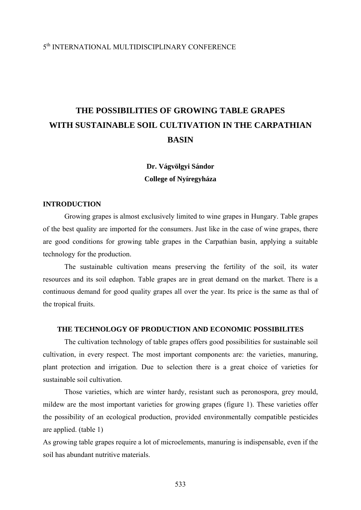### 5th INTERNATIONAL MULTIDISCIPLINARY CONFERENCE

# **THE POSSIBILITIES OF GROWING TABLE GRAPES WITH SUSTAINABLE SOIL CULTIVATION IN THE CARPATHIAN BASIN**

## **Dr. Vágvölgyi Sándor College of Nyíregyháza**

#### **INTRODUCTION**

Growing grapes is almost exclusively limited to wine grapes in Hungary. Table grapes of the best quality are imported for the consumers. Just like in the case of wine grapes, there are good conditions for growing table grapes in the Carpathian basin, applying a suitable technology for the production.

 The sustainable cultivation means preserving the fertility of the soil, its water resources and its soil edaphon. Table grapes are in great demand on the market. There is a continuous demand for good quality grapes all over the year. Its price is the same as thal of the tropical fruits.

#### **THE TECHNOLOGY OF PRODUCTION AND ECONOMIC POSSIBILITES**

 The cultivation technology of table grapes offers good possibilities for sustainable soil cultivation, in every respect. The most important components are: the varieties, manuring, plant protection and irrigation. Due to selection there is a great choice of varieties for sustainable soil cultivation.

 Those varieties, which are winter hardy, resistant such as peronospora, grey mould, mildew are the most important varieties for growing grapes (figure 1). These varieties offer the possibility of an ecological production, provided environmentally compatible pesticides are applied. (table 1)

As growing table grapes require a lot of microelements, manuring is indispensable, even if the soil has abundant nutritive materials.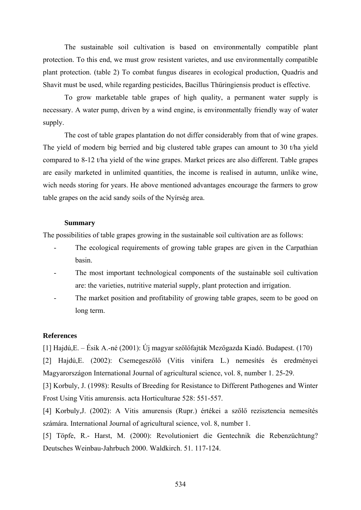The sustainable soil cultivation is based on environmentally compatible plant protection. To this end, we must grow resistent varietes, and use environmentally compatible plant protection. (table 2) To combat fungus diseares in ecological production, Quadris and Shavit must be used, while regarding pesticides, Bacillus Thüringiensis product is effective.

 To grow marketable table grapes of high quality, a permanent water supply is necessary. A water pump, driven by a wind engine, is environmentally friendly way of water supply.

The cost of table grapes plantation do not differ considerably from that of wine grapes. The yield of modern big berried and big clustered table grapes can amount to 30 t/ha yield compared to 8-12 t/ha yield of the wine grapes. Market prices are also different. Table grapes are easily marketed in unlimited quantities, the income is realised in autumn, unlike wine, wich needs storing for years. He above mentioned advantages encourage the farmers to grow table grapes on the acid sandy soils of the Nyírség area.

#### **Summary**

The possibilities of table grapes growing in the sustainable soil cultivation are as follows:

- The ecological requirements of growing table grapes are given in the Carpathian basin.
- The most important technological components of the sustainable soil cultivation are: the varieties, nutritive material supply, plant protection and irrigation.
- The market position and profitability of growing table grapes, seem to be good on long term.

#### **References**

[1] Hajdú,E. – Ésik A.-né (2001): Új magyar szőlőfajták Mezőgazda Kiadó. Budapest. (170)

[2] Hajdú,E. (2002): Csemegeszőlő (Vitis vinifera L.) nemesítés és eredményei Magyarországon International Journal of agricultural science, vol. 8, number 1. 25-29.

[3] Korbuly, J. (1998): Results of Breeding for Resistance to Different Pathogenes and Winter Frost Using Vitis amurensis. acta Horticulturae 528: 551-557.

[4] Korbuly,J. (2002): A Vitis amurensis (Rupr.) értékei a szőlő rezisztencia nemesítés számára. International Journal of agricultural science, vol. 8, number 1.

[5] Töpfe, R.- Harst, M. (2000): Revolutioniert die Gentechnik die Rebenzüchtung? Deutsches Weinbau-Jahrbuch 2000. Waldkirch. 51. 117-124.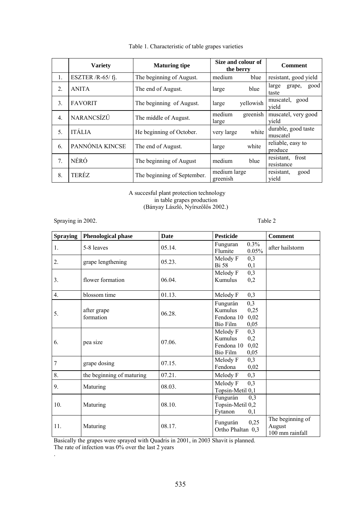|                  | <b>Variety</b>    | <b>Maturing tipe</b>        | Size and colour of<br>the berry | <b>Comment</b>                    |
|------------------|-------------------|-----------------------------|---------------------------------|-----------------------------------|
| 1.               | ESZTER /R-65/fj.  | The beginning of August.    | medium<br>blue                  | resistant, good yield             |
| $\mathfrak{2}$ . | <b>ANITA</b>      | The end of August.          | blue<br>large                   | large<br>good<br>grape,<br>taste  |
| 3.               | <b>FAVORIT</b>    | The beginning of August.    | yellowish<br>large              | muscatel, good<br>vield           |
| $\overline{4}$ . | <b>NARANCSÍZŰ</b> | The middle of August.       | medium<br>greenish<br>large     | muscatel, very good<br>vield      |
| 5 <sub>1</sub>   | ITÁLIA            | He beginning of October.    | white<br>very large             | durable, good taste<br>muscatel   |
| 6.               | PANNÓNIA KINCSE   | The end of August.          | white<br>large                  | reliable, easy to<br>produce      |
| 7 <sub>1</sub>   | NÉRÓ              | The beginning of August     | medium<br>blue                  | resistant,<br>frost<br>resistance |
| 8.               | TERÉZ             | The beginning of September. | medium large<br>greenish        | resistant.<br>good<br>yield       |

#### Table 1. Characteristic of table grapes varieties

A succesful plant protection technology in table grapes production (Bányay László, Nyírszőlős 2002.)

Spraying in 2002. Table 2

| <b>Spraying</b> | Phenological phase        | <b>Date</b> | <b>Pesticide</b>                                                             | <b>Comment</b>                                |
|-----------------|---------------------------|-------------|------------------------------------------------------------------------------|-----------------------------------------------|
| 1.              | 5-8 leaves                | 05.14.      | 0.3%<br>Funguran<br>0.05%<br>Flumite                                         | after hailstorm                               |
| 2.              | grape lengthening         | 05.23.      | Melody F<br>0,3<br><b>Bi</b> 58<br>0,1                                       |                                               |
| 3.              | flower formation          | 06.04.      | 0,3<br>Melody F<br>Kumulus<br>0,2                                            |                                               |
| 4.              | blossom time              | 01.13.      | 0,3<br>Melody F                                                              |                                               |
| 5.              | after grape<br>formation  | 06.28.      | 0,3<br>Fungurán<br>Kumulus<br>0,25<br>0,02<br>Fendona 10<br>Bio Film<br>0,05 |                                               |
| 6.              | pea size                  | 07.06.      | 0,3<br>Melody F<br>Kumulus<br>0,2<br>Fendona 10<br>0,02<br>Bio Film<br>0,05  |                                               |
| 7               | grape dosing              | 07.15.      | 0,3<br>Melody F<br>Fendona<br>0,02                                           |                                               |
| 8.              | the beginning of maturing | 07.21.      | Melody F<br>0,3                                                              |                                               |
| 9.              | Maturing                  | 08.03.      | 0,3<br>Melody F<br>Topsin-Metil 0,1                                          |                                               |
| 10.             | Maturing                  | 08.10.      | Fungurán<br>0,3<br>Topsin-Metil 0,2<br>Fytanon<br>0,1                        |                                               |
| 11.             | Maturing                  | 08.17.      | 0,25<br>Fungurán<br>Ortho Phaltan 0,3                                        | The beginning of<br>August<br>100 mm rainfall |

Basically the grapes were sprayed with Quadris in 2001, in 2003 Shavit is planned.

The rate of infection was 0% over the last 2 years

.